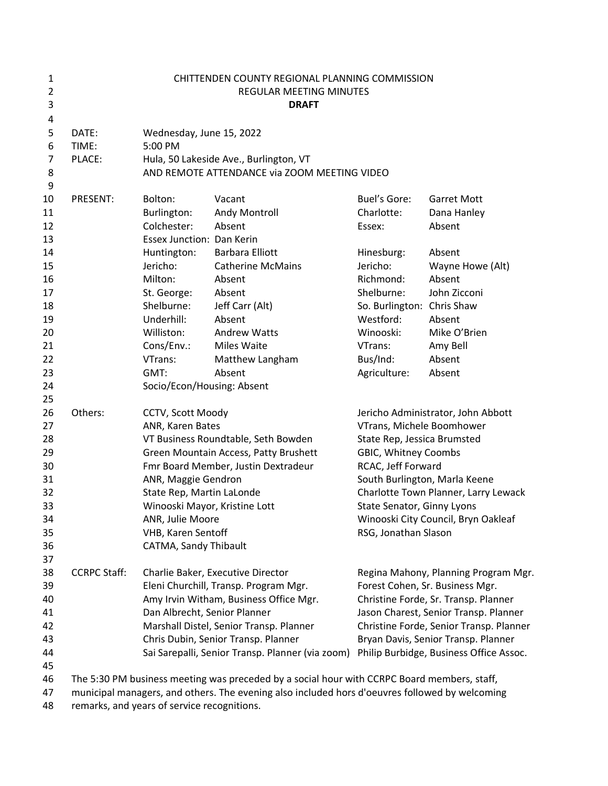| 1<br>$\overline{2}$<br>3                                                               |                          | CHITTENDEN COUNTY REGIONAL PLANNING COMMISSION<br>REGULAR MEETING MINUTES<br><b>DRAFT</b>                                                                                                                                                                                                                            |                                                                                                                                                                                                                                                                                                                                                                                                                                                                                             |                                                                                                                                                                                                                                                                                                                    |                                                                                                                                                                                                                                                                                       |  |  |
|----------------------------------------------------------------------------------------|--------------------------|----------------------------------------------------------------------------------------------------------------------------------------------------------------------------------------------------------------------------------------------------------------------------------------------------------------------|---------------------------------------------------------------------------------------------------------------------------------------------------------------------------------------------------------------------------------------------------------------------------------------------------------------------------------------------------------------------------------------------------------------------------------------------------------------------------------------------|--------------------------------------------------------------------------------------------------------------------------------------------------------------------------------------------------------------------------------------------------------------------------------------------------------------------|---------------------------------------------------------------------------------------------------------------------------------------------------------------------------------------------------------------------------------------------------------------------------------------|--|--|
| 4<br>5<br>6<br>7<br>8<br>9                                                             | DATE:<br>TIME:<br>PLACE: | Wednesday, June 15, 2022<br>5:00 PM<br>Hula, 50 Lakeside Ave., Burlington, VT<br>AND REMOTE ATTENDANCE via ZOOM MEETING VIDEO                                                                                                                                                                                        |                                                                                                                                                                                                                                                                                                                                                                                                                                                                                             |                                                                                                                                                                                                                                                                                                                    |                                                                                                                                                                                                                                                                                       |  |  |
| 10<br>11<br>12<br>13<br>14<br>15<br>16<br>17<br>18<br>19<br>20<br>21<br>22<br>23<br>24 | PRESENT:                 | Bolton:<br>Burlington:<br>Colchester:<br>Essex Junction: Dan Kerin<br>Huntington:<br>Jericho:<br>Milton:<br>St. George:<br>Shelburne:<br>Underhill:<br>Williston:<br>Cons/Env.:<br>VTrans:<br>GMT:<br>Socio/Econ/Housing: Absent                                                                                     | Vacant<br>Andy Montroll<br>Absent<br><b>Barbara Elliott</b><br><b>Catherine McMains</b><br>Absent<br>Absent<br>Jeff Carr (Alt)<br>Absent<br><b>Andrew Watts</b><br><b>Miles Waite</b><br>Matthew Langham<br>Absent                                                                                                                                                                                                                                                                          | Buel's Gore:<br>Charlotte:<br>Essex:<br>Hinesburg:<br>Jericho:<br>Richmond:<br>Shelburne:<br>So. Burlington: Chris Shaw<br>Westford:<br>Winooski:<br>VTrans:<br>Bus/Ind:<br>Agriculture:                                                                                                                           | <b>Garret Mott</b><br>Dana Hanley<br>Absent<br>Absent<br>Wayne Howe (Alt)<br>Absent<br>John Zicconi<br>Absent<br>Mike O'Brien<br>Amy Bell<br>Absent<br>Absent                                                                                                                         |  |  |
| 25<br>26<br>27<br>28<br>29<br>30<br>31<br>32<br>33<br>34<br>35<br>36                   | Others:                  | CCTV, Scott Moody<br>ANR, Karen Bates<br>VT Business Roundtable, Seth Bowden<br>Green Mountain Access, Patty Brushett<br>Fmr Board Member, Justin Dextradeur<br>ANR, Maggie Gendron<br>State Rep, Martin LaLonde<br>Winooski Mayor, Kristine Lott<br>ANR, Julie Moore<br>VHB, Karen Sentoff<br>CATMA, Sandy Thibault |                                                                                                                                                                                                                                                                                                                                                                                                                                                                                             | Jericho Administrator, John Abbott<br>VTrans, Michele Boomhower<br>State Rep, Jessica Brumsted<br>GBIC, Whitney Coombs<br>RCAC, Jeff Forward<br>South Burlington, Marla Keene<br>Charlotte Town Planner, Larry Lewack<br>State Senator, Ginny Lyons<br>Winooski City Council, Bryn Oakleaf<br>RSG, Jonathan Slason |                                                                                                                                                                                                                                                                                       |  |  |
| 37<br>38<br>39<br>40<br>41<br>42<br>43<br>44<br>45<br>46<br>47                         | <b>CCRPC Staff:</b>      |                                                                                                                                                                                                                                                                                                                      | Charlie Baker, Executive Director<br>Eleni Churchill, Transp. Program Mgr.<br>Amy Irvin Witham, Business Office Mgr.<br>Dan Albrecht, Senior Planner<br>Marshall Distel, Senior Transp. Planner<br>Chris Dubin, Senior Transp. Planner<br>Sai Sarepalli, Senior Transp. Planner (via zoom)<br>The 5:30 PM business meeting was preceded by a social hour with CCRPC Board members, staff,<br>municipal managers, and others. The evening also included hors d'oeuvres followed by welcoming |                                                                                                                                                                                                                                                                                                                    | Regina Mahony, Planning Program Mgr.<br>Forest Cohen, Sr. Business Mgr.<br>Christine Forde, Sr. Transp. Planner<br>Jason Charest, Senior Transp. Planner<br>Christine Forde, Senior Transp. Planner<br>Bryan Davis, Senior Transp. Planner<br>Philip Burbidge, Business Office Assoc. |  |  |

remarks, and years of service recognitions.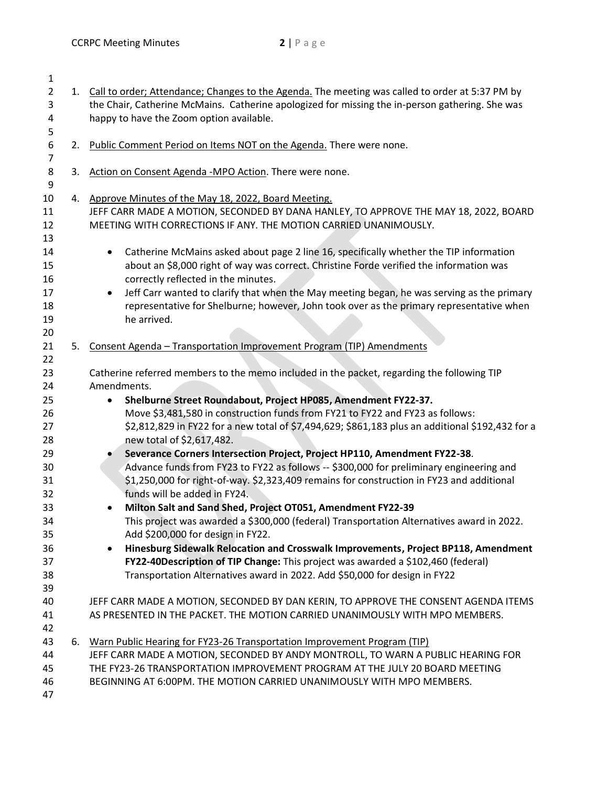| $\mathbf{1}$                                                                                 |    |                                                                                                                                                                                                                                                                                                                                                                                                                                                                                                                                                                                                                                                                                                                                                                                                                                                                                                                                                                                                                                                                                                                                                                          |  |  |  |  |
|----------------------------------------------------------------------------------------------|----|--------------------------------------------------------------------------------------------------------------------------------------------------------------------------------------------------------------------------------------------------------------------------------------------------------------------------------------------------------------------------------------------------------------------------------------------------------------------------------------------------------------------------------------------------------------------------------------------------------------------------------------------------------------------------------------------------------------------------------------------------------------------------------------------------------------------------------------------------------------------------------------------------------------------------------------------------------------------------------------------------------------------------------------------------------------------------------------------------------------------------------------------------------------------------|--|--|--|--|
| $\overline{2}$                                                                               |    | 1. Call to order; Attendance; Changes to the Agenda. The meeting was called to order at 5:37 PM by                                                                                                                                                                                                                                                                                                                                                                                                                                                                                                                                                                                                                                                                                                                                                                                                                                                                                                                                                                                                                                                                       |  |  |  |  |
| 3                                                                                            |    | the Chair, Catherine McMains. Catherine apologized for missing the in-person gathering. She was                                                                                                                                                                                                                                                                                                                                                                                                                                                                                                                                                                                                                                                                                                                                                                                                                                                                                                                                                                                                                                                                          |  |  |  |  |
| 4                                                                                            |    | happy to have the Zoom option available.                                                                                                                                                                                                                                                                                                                                                                                                                                                                                                                                                                                                                                                                                                                                                                                                                                                                                                                                                                                                                                                                                                                                 |  |  |  |  |
| 5                                                                                            |    |                                                                                                                                                                                                                                                                                                                                                                                                                                                                                                                                                                                                                                                                                                                                                                                                                                                                                                                                                                                                                                                                                                                                                                          |  |  |  |  |
| 6                                                                                            | 2. | Public Comment Period on Items NOT on the Agenda. There were none.                                                                                                                                                                                                                                                                                                                                                                                                                                                                                                                                                                                                                                                                                                                                                                                                                                                                                                                                                                                                                                                                                                       |  |  |  |  |
| $\overline{7}$                                                                               |    |                                                                                                                                                                                                                                                                                                                                                                                                                                                                                                                                                                                                                                                                                                                                                                                                                                                                                                                                                                                                                                                                                                                                                                          |  |  |  |  |
| 8                                                                                            | 3. | Action on Consent Agenda -MPO Action. There were none.                                                                                                                                                                                                                                                                                                                                                                                                                                                                                                                                                                                                                                                                                                                                                                                                                                                                                                                                                                                                                                                                                                                   |  |  |  |  |
| 9                                                                                            |    |                                                                                                                                                                                                                                                                                                                                                                                                                                                                                                                                                                                                                                                                                                                                                                                                                                                                                                                                                                                                                                                                                                                                                                          |  |  |  |  |
| 10                                                                                           |    | 4. Approve Minutes of the May 18, 2022, Board Meeting.                                                                                                                                                                                                                                                                                                                                                                                                                                                                                                                                                                                                                                                                                                                                                                                                                                                                                                                                                                                                                                                                                                                   |  |  |  |  |
| 11                                                                                           |    | JEFF CARR MADE A MOTION, SECONDED BY DANA HANLEY, TO APPROVE THE MAY 18, 2022, BOARD                                                                                                                                                                                                                                                                                                                                                                                                                                                                                                                                                                                                                                                                                                                                                                                                                                                                                                                                                                                                                                                                                     |  |  |  |  |
|                                                                                              |    |                                                                                                                                                                                                                                                                                                                                                                                                                                                                                                                                                                                                                                                                                                                                                                                                                                                                                                                                                                                                                                                                                                                                                                          |  |  |  |  |
| 12                                                                                           |    | MEETING WITH CORRECTIONS IF ANY. THE MOTION CARRIED UNANIMOUSLY.                                                                                                                                                                                                                                                                                                                                                                                                                                                                                                                                                                                                                                                                                                                                                                                                                                                                                                                                                                                                                                                                                                         |  |  |  |  |
| 13                                                                                           |    |                                                                                                                                                                                                                                                                                                                                                                                                                                                                                                                                                                                                                                                                                                                                                                                                                                                                                                                                                                                                                                                                                                                                                                          |  |  |  |  |
| 14                                                                                           |    | Catherine McMains asked about page 2 line 16, specifically whether the TIP information<br>$\bullet$                                                                                                                                                                                                                                                                                                                                                                                                                                                                                                                                                                                                                                                                                                                                                                                                                                                                                                                                                                                                                                                                      |  |  |  |  |
| 15                                                                                           |    | about an \$8,000 right of way was correct. Christine Forde verified the information was                                                                                                                                                                                                                                                                                                                                                                                                                                                                                                                                                                                                                                                                                                                                                                                                                                                                                                                                                                                                                                                                                  |  |  |  |  |
| 16                                                                                           |    | correctly reflected in the minutes.                                                                                                                                                                                                                                                                                                                                                                                                                                                                                                                                                                                                                                                                                                                                                                                                                                                                                                                                                                                                                                                                                                                                      |  |  |  |  |
| 17                                                                                           |    | Jeff Carr wanted to clarify that when the May meeting began, he was serving as the primary<br>$\bullet$                                                                                                                                                                                                                                                                                                                                                                                                                                                                                                                                                                                                                                                                                                                                                                                                                                                                                                                                                                                                                                                                  |  |  |  |  |
| 18                                                                                           |    | representative for Shelburne; however, John took over as the primary representative when                                                                                                                                                                                                                                                                                                                                                                                                                                                                                                                                                                                                                                                                                                                                                                                                                                                                                                                                                                                                                                                                                 |  |  |  |  |
| 19                                                                                           |    | he arrived.                                                                                                                                                                                                                                                                                                                                                                                                                                                                                                                                                                                                                                                                                                                                                                                                                                                                                                                                                                                                                                                                                                                                                              |  |  |  |  |
| 20                                                                                           |    |                                                                                                                                                                                                                                                                                                                                                                                                                                                                                                                                                                                                                                                                                                                                                                                                                                                                                                                                                                                                                                                                                                                                                                          |  |  |  |  |
| 21                                                                                           | 5. | Consent Agenda - Transportation Improvement Program (TIP) Amendments                                                                                                                                                                                                                                                                                                                                                                                                                                                                                                                                                                                                                                                                                                                                                                                                                                                                                                                                                                                                                                                                                                     |  |  |  |  |
| 23<br>24<br>25<br>26<br>27<br>28<br>29<br>30<br>31<br>32<br>33<br>34<br>35<br>36<br>37<br>38 |    | Catherine referred members to the memo included in the packet, regarding the following TIP<br>Amendments.<br>Shelburne Street Roundabout, Project HP085, Amendment FY22-37.<br>$\bullet$<br>Move \$3,481,580 in construction funds from FY21 to FY22 and FY23 as follows:<br>\$2,812,829 in FY22 for a new total of \$7,494,629; \$861,183 plus an additional \$192,432 for a<br>new total of \$2,617,482.<br>Severance Corners Intersection Project, Project HP110, Amendment FY22-38.<br>Advance funds from FY23 to FY22 as follows -- \$300,000 for preliminary engineering and<br>\$1,250,000 for right-of-way. \$2,323,409 remains for construction in FY23 and additional<br>funds will be added in FY24.<br>Milton Salt and Sand Shed, Project OT051, Amendment FY22-39<br>This project was awarded a \$300,000 (federal) Transportation Alternatives award in 2022.<br>Add \$200,000 for design in FY22.<br>Hinesburg Sidewalk Relocation and Crosswalk Improvements, Project BP118, Amendment<br>FY22-40Description of TIP Change: This project was awarded a \$102,460 (federal)<br>Transportation Alternatives award in 2022. Add \$50,000 for design in FY22 |  |  |  |  |
|                                                                                              |    |                                                                                                                                                                                                                                                                                                                                                                                                                                                                                                                                                                                                                                                                                                                                                                                                                                                                                                                                                                                                                                                                                                                                                                          |  |  |  |  |
| 39                                                                                           |    |                                                                                                                                                                                                                                                                                                                                                                                                                                                                                                                                                                                                                                                                                                                                                                                                                                                                                                                                                                                                                                                                                                                                                                          |  |  |  |  |
| 40                                                                                           |    | JEFF CARR MADE A MOTION, SECONDED BY DAN KERIN, TO APPROVE THE CONSENT AGENDA ITEMS                                                                                                                                                                                                                                                                                                                                                                                                                                                                                                                                                                                                                                                                                                                                                                                                                                                                                                                                                                                                                                                                                      |  |  |  |  |
| 41                                                                                           |    | AS PRESENTED IN THE PACKET. THE MOTION CARRIED UNANIMOUSLY WITH MPO MEMBERS.                                                                                                                                                                                                                                                                                                                                                                                                                                                                                                                                                                                                                                                                                                                                                                                                                                                                                                                                                                                                                                                                                             |  |  |  |  |
| 42                                                                                           |    |                                                                                                                                                                                                                                                                                                                                                                                                                                                                                                                                                                                                                                                                                                                                                                                                                                                                                                                                                                                                                                                                                                                                                                          |  |  |  |  |
| 43                                                                                           | 6. | Warn Public Hearing for FY23-26 Transportation Improvement Program (TIP)                                                                                                                                                                                                                                                                                                                                                                                                                                                                                                                                                                                                                                                                                                                                                                                                                                                                                                                                                                                                                                                                                                 |  |  |  |  |
| 44                                                                                           |    | JEFF CARR MADE A MOTION, SECONDED BY ANDY MONTROLL, TO WARN A PUBLIC HEARING FOR                                                                                                                                                                                                                                                                                                                                                                                                                                                                                                                                                                                                                                                                                                                                                                                                                                                                                                                                                                                                                                                                                         |  |  |  |  |
|                                                                                              |    | THE FY23-26 TRANSPORTATION IMPROVEMENT PROGRAM AT THE JULY 20 BOARD MEETING                                                                                                                                                                                                                                                                                                                                                                                                                                                                                                                                                                                                                                                                                                                                                                                                                                                                                                                                                                                                                                                                                              |  |  |  |  |
| 45                                                                                           |    |                                                                                                                                                                                                                                                                                                                                                                                                                                                                                                                                                                                                                                                                                                                                                                                                                                                                                                                                                                                                                                                                                                                                                                          |  |  |  |  |
| 46                                                                                           |    | BEGINNING AT 6:00PM. THE MOTION CARRIED UNANIMOUSLY WITH MPO MEMBERS.                                                                                                                                                                                                                                                                                                                                                                                                                                                                                                                                                                                                                                                                                                                                                                                                                                                                                                                                                                                                                                                                                                    |  |  |  |  |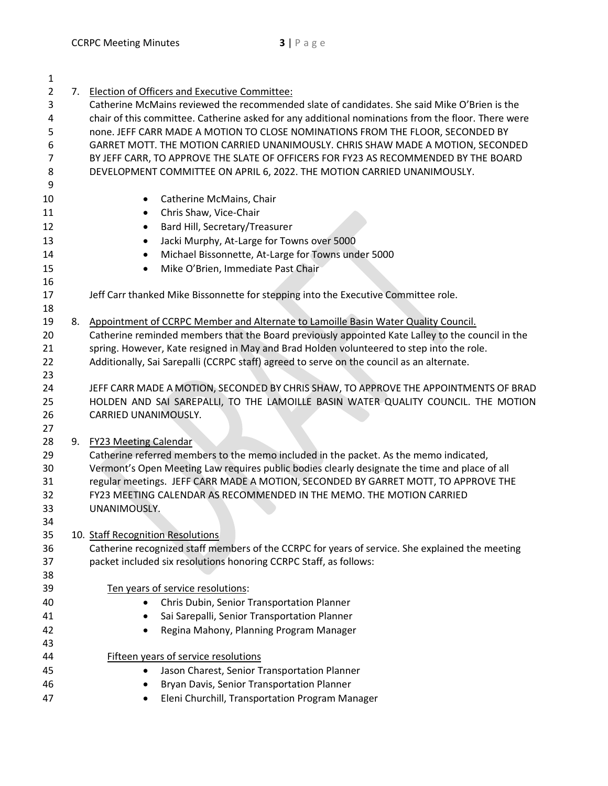| $\mathbf{1}$   |                                                                                                    |
|----------------|----------------------------------------------------------------------------------------------------|
| $\overline{2}$ | 7. Election of Officers and Executive Committee:                                                   |
| 3              | Catherine McMains reviewed the recommended slate of candidates. She said Mike O'Brien is the       |
| 4              | chair of this committee. Catherine asked for any additional nominations from the floor. There were |
| 5              | none. JEFF CARR MADE A MOTION TO CLOSE NOMINATIONS FROM THE FLOOR, SECONDED BY                     |
| 6              | GARRET MOTT. THE MOTION CARRIED UNANIMOUSLY. CHRIS SHAW MADE A MOTION, SECONDED                    |
| $\overline{7}$ | BY JEFF CARR, TO APPROVE THE SLATE OF OFFICERS FOR FY23 AS RECOMMENDED BY THE BOARD                |
| 8              | DEVELOPMENT COMMITTEE ON APRIL 6, 2022. THE MOTION CARRIED UNANIMOUSLY.                            |
| 9              |                                                                                                    |
| 10             | Catherine McMains, Chair                                                                           |
| 11             | Chris Shaw, Vice-Chair<br>$\bullet$                                                                |
| 12             | Bard Hill, Secretary/Treasurer<br>$\bullet$                                                        |
| 13             | Jacki Murphy, At-Large for Towns over 5000<br>٠                                                    |
| 14             | Michael Bissonnette, At-Large for Towns under 5000                                                 |
| 15             | Mike O'Brien, Immediate Past Chair<br>$\bullet$                                                    |
| 16             |                                                                                                    |
| 17             | Jeff Carr thanked Mike Bissonnette for stepping into the Executive Committee role.                 |
| 18             |                                                                                                    |
| 19             | 8. Appointment of CCRPC Member and Alternate to Lamoille Basin Water Quality Council.              |
| 20             | Catherine reminded members that the Board previously appointed Kate Lalley to the council in the   |
| 21             | spring. However, Kate resigned in May and Brad Holden volunteered to step into the role.           |
| 22             | Additionally, Sai Sarepalli (CCRPC staff) agreed to serve on the council as an alternate.          |
| 23             |                                                                                                    |
| 24             | JEFF CARR MADE A MOTION, SECONDED BY CHRIS SHAW, TO APPROVE THE APPOINTMENTS OF BRAD               |
| 25             | HOLDEN AND SAI SAREPALLI, TO THE LAMOILLE BASIN WATER QUALITY COUNCIL. THE MOTION                  |
| 26             | CARRIED UNANIMOUSLY.                                                                               |
| 27             |                                                                                                    |
| 28             | 9. FY23 Meeting Calendar                                                                           |
| 29             | Catherine referred members to the memo included in the packet. As the memo indicated,              |
| 30             | Vermont's Open Meeting Law requires public bodies clearly designate the time and place of all      |
| 31             | regular meetings. JEFF CARR MADE A MOTION, SECONDED BY GARRET MOTT, TO APPROVE THE                 |
| 32             | FY23 MEETING CALENDAR AS RECOMMENDED IN THE MEMO. THE MOTION CARRIED                               |
| 33             | UNANIMOUSLY.                                                                                       |
| 34             |                                                                                                    |
| 35             | 10. Staff Recognition Resolutions                                                                  |
| 36             | Catherine recognized staff members of the CCRPC for years of service. She explained the meeting    |
| 37             | packet included six resolutions honoring CCRPC Staff, as follows:                                  |
| 38             |                                                                                                    |
| 39             | Ten years of service resolutions:                                                                  |
| 40             | Chris Dubin, Senior Transportation Planner                                                         |
| 41             | Sai Sarepalli, Senior Transportation Planner                                                       |
| 42             | Regina Mahony, Planning Program Manager                                                            |
| 43             |                                                                                                    |
| 44             | <b>Fifteen years of service resolutions</b>                                                        |
| 45             | Jason Charest, Senior Transportation Planner                                                       |
| 46             | Bryan Davis, Senior Transportation Planner                                                         |
| 47             | Eleni Churchill, Transportation Program Manager                                                    |